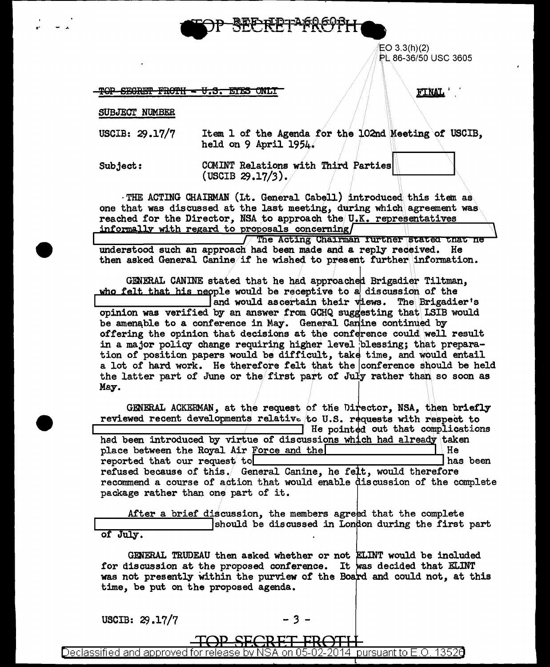

 $EO 3.3(h)(2)$ PL 86-36/50 USC 3605

TOP SEGRET FROTH - U.S. ETES ONLY

**FINAL** 

SUBJECT NUMBER

- USCIB: 29.17/7 Item 1 of the Agenda for the 102nd Meeting of USCIB, held on 9 April 1954.
- Subject: COMINT Relations with Third Parties (USCIB  $29.17/3$ ).

THE ACTING CHAIRMAN (Lt. General Cabell) introduced this item as one that was discussed at the last meeting, during which agreement was reached for the Director, NSA to approach the U.K. representatives informally with regard to proposals concerning

The Acting Chairman further stated that he understood such an approach had been made and a reply received. He then asked General Canine if he wished to present further information.

GENERAL CANINE stated that he had approached Brigadier Tiltman, who felt that his neople would be receptive to a discussion of the and would ascertain their views. The Brigadier's opinion was verified by an answer from GCHQ suggesting that LSIB would be amenable to a conference in May. General Canine continued by offering the opinion that decisions at the conference could well result in a major policy change requiring higher level blessing; that preparation of position papers would be difficult, take time, and would entail a lot of hard work. He therefore felt that the conference should be held the latter part of June or the first part of July rather than so soon as May.

GENERAL ACKERMAN, at the request of the Director, NSA, then briefly reviewed recent developments relative to U.S. requests with respect to He pointed out that complications had been introduced by virtue of discussions which had already taken place between the Royal Air Force and the He has been reported that our request to refused because of this. General Canine, he felt, would therefore recommend a course of action that would enable discussion of the complete package rather than one part of it.

After a brief discussion, the members agreed that the complete should be discussed in London during the first part of July.

GENERAL TRUDEAU then asked whether or not ELINT would be included for discussion at the proposed conference. It was decided that ELINT was not presently within the purview of the Board and could not, at this time, be put on the proposed agenda.

USCIB: 29.17/7

Declassified and approved for release by NSA on 0 2014  $\,$ pursuant to E.O. 1352 $\bf 0$